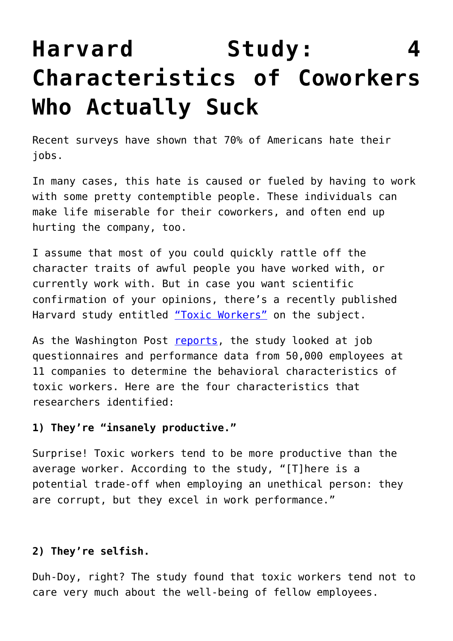# **[Harvard Study: 4](https://intellectualtakeout.org/2015/12/harvard-study-4-characteristics-of-coworkers-who-actually-suck/) [Characteristics of Coworkers](https://intellectualtakeout.org/2015/12/harvard-study-4-characteristics-of-coworkers-who-actually-suck/) [Who Actually Suck](https://intellectualtakeout.org/2015/12/harvard-study-4-characteristics-of-coworkers-who-actually-suck/)**

Recent surveys have shown that 70% of Americans hate their jobs.

In many cases, this hate is caused or fueled by having to work with some pretty contemptible people. These individuals can make life miserable for their coworkers, and often end up hurting the company, too.

I assume that most of you could quickly rattle off the character traits of awful people you have worked with, or currently work with. But in case you want scientific confirmation of your opinions, there's a recently published Harvard study entitled ["Toxic Workers"](http://www.hbs.edu/faculty/Publication%20Files/16-057_d45c0b4f-fa19-49de-8f1b-4b12fe054fea.pdf) on the subject.

As the Washington Post [reports](https://www.washingtonpost.com/news/to-your-health/wp/2015/12/15/beware-the-rule-following-co-worker-harvard-study-warns/?hpid=hp_hp-more-top-stories_tyh-co-worker-200pm%3Ahomepage%2Fstory), the study looked at job questionnaires and performance data from 50,000 employees at 11 companies to determine the behavioral characteristics of toxic workers. Here are the four characteristics that researchers identified:

#### **1) They're "insanely productive."**

Surprise! Toxic workers tend to be more productive than the average worker. According to the study, "[T]here is a potential trade-off when employing an unethical person: they are corrupt, but they excel in work performance."

#### **2) They're selfish.**

Duh-Doy, right? The study found that toxic workers tend not to care very much about the well-being of fellow employees.